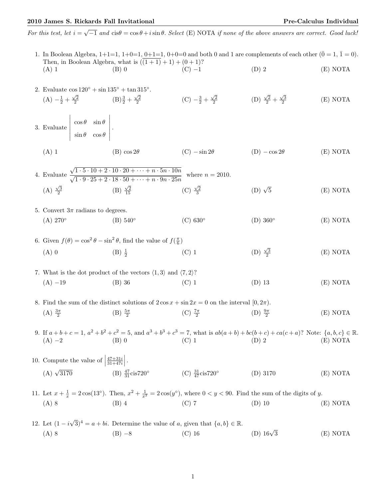## 2010 James S. Rickards Fall Invitational Pre-Calculus Individual

2. Evaluate  $\cos 120^\circ + \sin 135^\circ + \tan 315^\circ$ .

For this test, let  $i = \sqrt{-1}$  and  $\text{cis}\theta = \cos\theta + i\sin\theta$ . Select (E) NOTA if none of the above answers are correct. Good luck!

|         | 1. In Boolean Algebra, $1+1=1$ , $1+0=1$ , $0+1=1$ , $0+0=0$ and both 0 and 1 are complements of each other $(0=1, 1=0)$ . |          |         |          |
|---------|----------------------------------------------------------------------------------------------------------------------------|----------|---------|----------|
|         | Then, in Boolean Algebra, what is $((1+1)+1) + (0+1)$ ?                                                                    |          |         |          |
| $(A)$ 1 | (B) 0                                                                                                                      | $(C) -1$ | $(D)$ 2 | (E) NOTA |
|         |                                                                                                                            |          |         |          |

 $(A) -\frac{1}{2} + \frac{\sqrt{2}}{2}$  $(B) \frac{3}{2} + \frac{\sqrt{2}}{2}$ (C)  $-\frac{3}{2} + \frac{\sqrt{2}}{2}$  (D)  $\frac{\sqrt{2}}{2} + \frac{\sqrt{3}}{2}$ (E) NOTA 3. Evaluate  $\cos \theta$   $\sin \theta$  $\sin \theta \quad \cos \theta$  . (A) 1 (B)  $\cos 2\theta$  (C)  $-\sin 2\theta$  (D)  $-\cos 2\theta$  (E) NOTA 4. Evaluate  $\frac{\sqrt{1 \cdot 5 \cdot 10 + 2 \cdot 10 \cdot 20 + \dots + n \cdot 5n \cdot 10n}}{\sqrt{1 \cdot 9 \cdot 25 + 2 \cdot 18 \cdot 50 + \dots + n \cdot 9n \cdot 25n}}$  where  $n = 2010$ . (A)  $\frac{\sqrt{3}}{2}$  (B)  $\frac{\sqrt{2}}{15}$  (C)  $\frac{\sqrt{2}}{3}$  $(D)$   $\sqrt{5}$ 5 (E) NOTA 5. Convert  $3\pi$  radians to degrees.  $(A)$  270 $^{\circ}$  $(B)$  540 $\circ$  $(C)$  630 $\circ$  $(D)$  360 $^{\circ}$ (E) NOTA 6. Given  $f(\theta) = \cos^2 \theta - \sin^2 \theta$ , find the value of  $f(\frac{\pi}{6})$ (A) 0 (B)  $\frac{1}{2}$  $(C)$  1  $\frac{\sqrt{3}}{2}$ (E) NOTA 7. What is the dot product of the vectors  $\langle 1, 3 \rangle$  and  $\langle 7, 2 \rangle$ ? (A) −19 (B) 36 (C) 1 (D) 13 (E) NOTA 8. Find the sum of the distinct solutions of  $2\cos x + \sin 2x = 0$  on the interval  $[0, 2\pi)$ .  $(A) \frac{3\pi}{2}$  $(B) \frac{5\pi}{2}$ (C)  $\frac{7\pi}{2}$ (D)  $\frac{9\pi}{2}$ (E) NOTA 9. If  $a+b+c=1$ ,  $a^2+b^2+c^2=5$ , and  $a^3+b^3+c^3=7$ , what is  $ab(a+b)+bc(b+c)+ca(c+a)$ ? Note:  $\{a,b,c\} \in \mathbb{R}$ . (A) −2 (B) 0 (C) 1 (D) 2 (E) NOTA 10. Compute the value of  $\vert$  $\frac{47+31i}{31+47i}$ . (A)  $\sqrt{3170}$  $\overline{3170}$  (B)  $\frac{47}{31}$  cis720° (C)  $\frac{31}{47}$  cis720° (D) 3170 (E) NOTA 11. Let  $x + \frac{1}{x} = 2\cos(13°)$ . Then,  $x^2 + \frac{1}{x^2} = 2\cos(y°)$ , where  $0 < y < 90$ . Find the sum of the digits of y. (A) 8 (B) 4 (C) 7 (D) 10 (E) NOTA 12. Let  $(1 - i)$  $(\sqrt{3})^4 = a + bi$ . Determine the value of a, given that  $\{a, b\} \in \mathbb{R}$ . (A) 8 (B)  $-8$  (C) 16 (D) 16√ (D)  $16\sqrt{3}$  (E) NOTA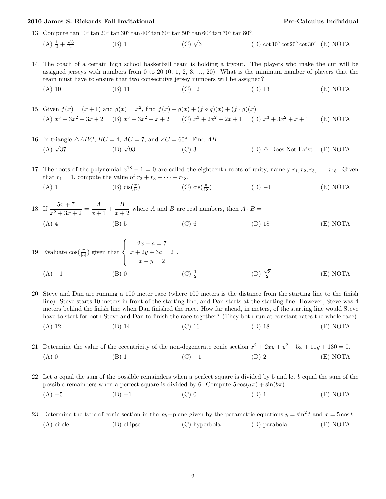## 2010 James S. Rickards Fall Invitational Pre-Calculus Individual

13. Compute  $\tan 10° \tan 20° \tan 30° \tan 40° \tan 60° \tan 50° \tan 60° \tan 70° \tan 80°$ .

## (A)  $\frac{1}{2} + \frac{\sqrt{3}}{2}$ (B) 1 (C)  $\sqrt{3}$  $\overline{3}$  (D) cot 10° cot 20° cot 30° (E) NOTA

- 14. The coach of a certain high school basketball team is holding a tryout. The players who make the cut will be assigned jerseys with numbers from 0 to 20  $(0, 1, 2, 3, ..., 20)$ . What is the minimum number of players that the team must have to ensure that two consectuive jersey numbers will be assigned?
	- (A) 10 (B) 11 (C) 12 (D) 13 (E) NOTA

15. Given  $f(x) = (x+1)$  and  $g(x) = x^2$ , find  $f(x) + g(x) + (f \circ g)(x) + (f \cdot g)(x)$ (A)  $x^3 + 3x^2 + 3x + 2$  (B)  $x^3 + 3x^2 + x + 2$  (C)  $x^3 + 2x^2 + 2x + 1$  (D)  $x^3 + 3x$  $(E)$  NOTA

16. In triangle  $\triangle ABC$ ,  $\overline{BC} = 4$ ,  $\overline{AC} = 7$ , and  $\angle C = 60^{\circ}$ . Find  $\overline{AB}$ .  $(A)$   $\sqrt{37}$  $(B)$   $\sqrt{93}$ (C) 3 (D)  $\triangle$  Does Not Exist (E) NOTA

17. The roots of the polynomial  $x^{18} - 1 = 0$  are called the eighteenth roots of unity, namely  $r_1, r_2, r_3, \ldots, r_{18}$ . Given that  $r_1 = 1$ , compute the value of  $r_2 + r_3 + \cdots + r_{18}$ . (A) 1 (B) cis( $\frac{\pi}{9}$ ) (C) cis $(\frac{\pi}{18})$  $(D) -1$  (E) NOTA

18. If  $\frac{5x+7}{x^2+3x+2} = \frac{A}{x+}$  $\frac{A}{x+1} + \frac{B}{x+1}$  $\frac{B}{x+2}$  where A and B are real numbers, then  $A \cdot B =$ (A) 4 (B) 5 (C) 6 (D) 18 (E) NOTA

19. Evaluate 
$$
\cos(\frac{\pi}{|a|})
$$
 given that  $\begin{cases} 2x - a = 7 \\ x + 2y + 3a = 2 \\ x - y = 2 \end{cases}$ .  
\n(A) -1 (B) 0 (C)  $\frac{1}{2}$  (D)  $\frac{\sqrt{3}}{2}$  (E) NOTA

20. Steve and Dan are running a 100 meter race (where 100 meters is the distance from the starting line to the finish line). Steve starts 10 meters in front of the starting line, and Dan starts at the starting line. However, Steve was 4 meters behind the finish line when Dan finished the race. How far ahead, in meters, of the starting line would Steve have to start for both Steve and Dan to finish the race together? (They both run at constant rates the whole race).

(A) 12 (B) 14 (C) 16 (D) 18 (E) NOTA

21. Determine the value of the eccentricity of the non-degenerate conic section  $x^2 + 2xy + y^2 - 5x + 11y + 130 = 0$ . (A) 0 (B) 1 (C) −1 (D) 2 (E) NOTA

22. Let  $a$  equal the sum of the possible remainders when a perfect square is divided by 5 and let  $b$  equal the sum of the possible remainders when a perfect square is divided by 6. Compute  $5\cos(\alpha\pi) + \sin(b\pi)$ .

(A) −5 (B) −1 (C) 0 (D) 1 (E) NOTA

23. Determine the type of conic section in the xy−plane given by the parametric equations  $y = \sin^2 t$  and  $x = 5 \cos t$ . (A) circle (B) ellipse (C) hyperbola (D) parabola (E) NOTA